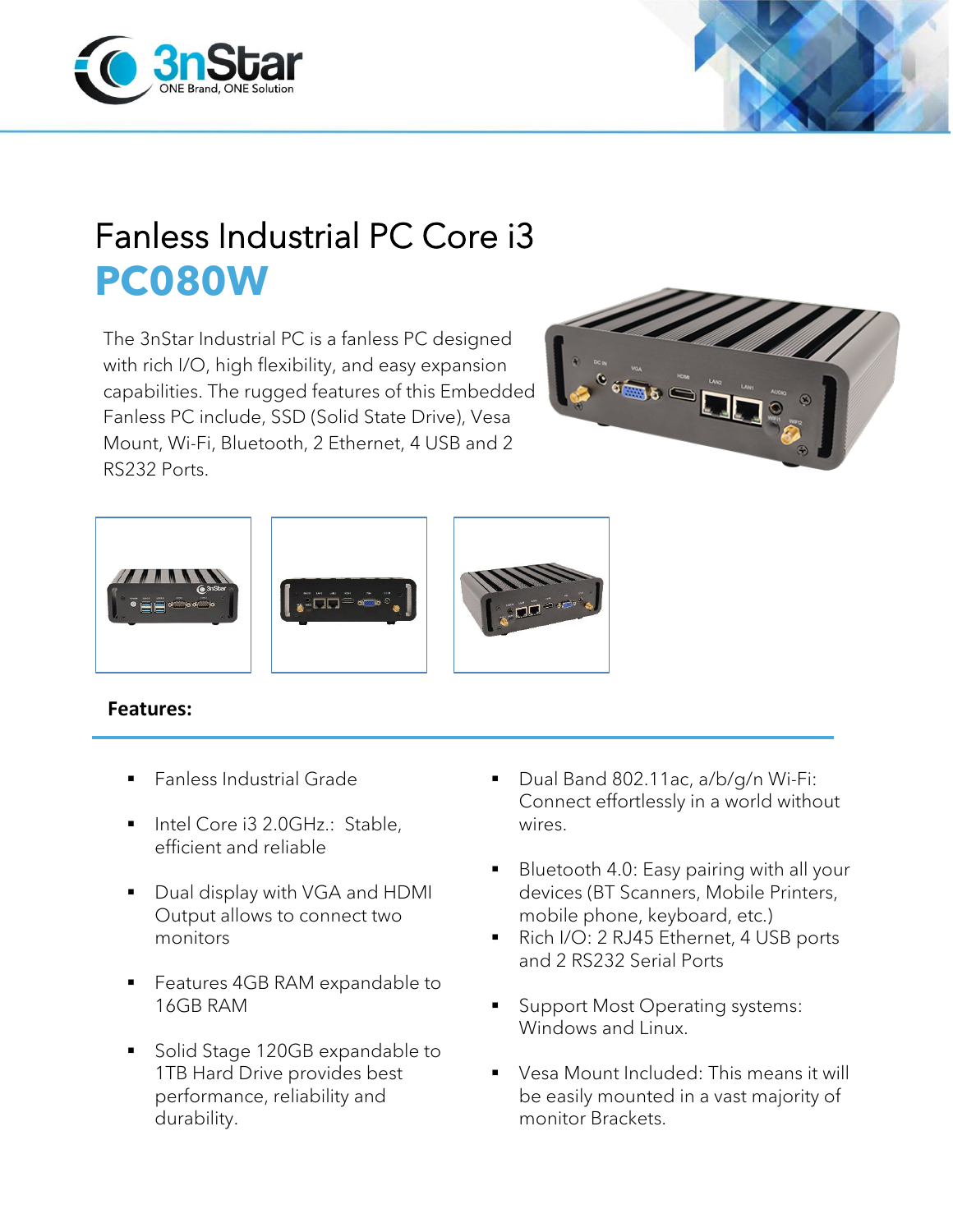



## Fanless Industrial PC Core i3 **PC080W**

The 3nStar Industrial PC is a fanless PC designed with rich I/O, high flexibility, and easy expansion capabilities. The rugged features of this Embedded Fanless PC include, SSD (Solid State Drive), Vesa Mount, Wi-Fi, Bluetooth, 2 Ethernet, 4 USB and 2 RS232 Ports.





## **Features:**

- **Fanless Industrial Grade**
- Intel Core i3 2.0GHz.: Stable, efficient and reliable
- Dual display with VGA and HDMI Output allows to connect two monitors
- Features 4GB RAM expandable to 16GB RAM
- Solid Stage 120GB expandable to 1TB Hard Drive provides best performance, reliability and durability.
- Dual Band 802.11ac, a/b/q/n Wi-Fi: Connect effortlessly in a world without wires.
- **Bluetooth 4.0: Easy pairing with all your** devices (BT Scanners, Mobile Printers, mobile phone, keyboard, etc.)
- Rich I/O: 2 RJ45 Ethernet, 4 USB ports and 2 RS232 Serial Ports
- Support Most Operating systems: Windows and Linux.
- Vesa Mount Included: This means it will be easily mounted in a vast majority of monitor Brackets.